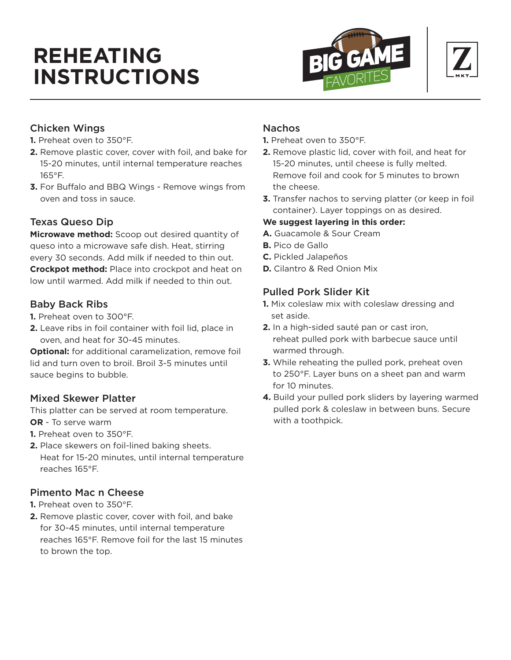# **REHEATING INSTRUCTIONS**





# Chicken Wings

- **1.** Preheat oven to 350°F.
- **2.** Remove plastic cover, cover with foil, and bake for 15-20 minutes, until internal temperature reaches 165°F.
- **3.** For Buffalo and BBQ Wings Remove wings from oven and toss in sauce.

# Texas Queso Dip

**Microwave method:** Scoop out desired quantity of queso into a microwave safe dish. Heat, stirring every 30 seconds. Add milk if needed to thin out. **Crockpot method:** Place into crockpot and heat on low until warmed. Add milk if needed to thin out.

# Baby Back Ribs

- **1.** Preheat oven to 300°F.
- **2.** Leave ribs in foil container with foil lid, place in oven, and heat for 30-45 minutes.

**Optional:** for additional caramelization, remove foil lid and turn oven to broil. Broil 3-5 minutes until sauce begins to bubble.

# Mixed Skewer Platter

This platter can be served at room temperature. **OR** - To serve warm

- **1.** Preheat oven to 350°F.
- **2.** Place skewers on foil-lined baking sheets. Heat for 15-20 minutes, until internal temperature reaches 165°F.

# Pimento Mac n Cheese

- **1.** Preheat oven to 350°F.
- **2.** Remove plastic cover, cover with foil, and bake for 30-45 minutes, until internal temperature reaches 165°F. Remove foil for the last 15 minutes to brown the top.

# Nachos

- **1.** Preheat oven to 350°F.
- **2.** Remove plastic lid, cover with foil, and heat for 15-20 minutes, until cheese is fully melted. Remove foil and cook for 5 minutes to brown the cheese.
- **3.** Transfer nachos to serving platter (or keep in foil container). Layer toppings on as desired.

# **We suggest layering in this order:**

- **A.** Guacamole & Sour Cream
- **B.** Pico de Gallo
- **C.** Pickled Jalapeños
- **D.** Cilantro & Red Onion Mix

# Pulled Pork Slider Kit

- **1.** Mix coleslaw mix with coleslaw dressing and set aside.
- **2.** In a high-sided sauté pan or cast iron, reheat pulled pork with barbecue sauce until warmed through.
- **3.** While reheating the pulled pork, preheat oven to 250°F. Layer buns on a sheet pan and warm for 10 minutes.
- **4.** Build your pulled pork sliders by layering warmed pulled pork & coleslaw in between buns. Secure with a toothpick.